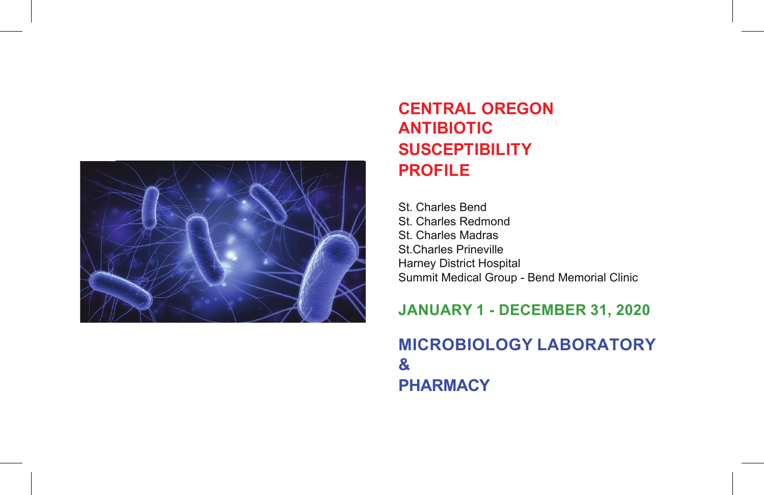

## **CENTRAL OREGON ANTIBIOTIC SUSCEPTIBILITY PROFILE**

St. Charles Bend St. Charles Redmond St. Charles Madras St.Charles Prineville Harney District Hospital Summit Medical Group - Bend Memorial Clinic

## **JANUARY 1 - DECEMBER 31, 2020**

## **MICROBIOLOGY LABORATORY & PHARMACY**